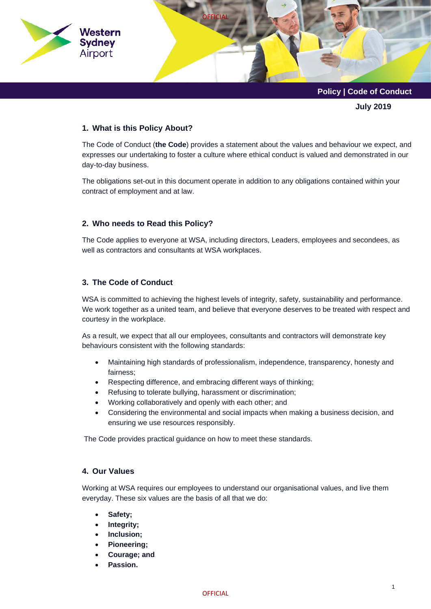

**July 2019**

## **1. What is this Policy About?**

The Code of Conduct (**the Code**) provides a statement about the values and behaviour we expect, and expresses our undertaking to foster a culture where ethical conduct is valued and demonstrated in our day-to-day business.

The obligations set-out in this document operate in addition to any obligations contained within your contract of employment and at law.

## **2. Who needs to Read this Policy?**

The Code applies to everyone at WSA, including directors, Leaders, employees and secondees, as well as contractors and consultants at WSA workplaces.

## **3. The Code of Conduct**

WSA is committed to achieving the highest levels of integrity, safety, sustainability and performance. We work together as a united team, and believe that everyone deserves to be treated with respect and courtesy in the workplace.

As a result, we expect that all our employees, consultants and contractors will demonstrate key behaviours consistent with the following standards:

- Maintaining high standards of professionalism, independence, transparency, honesty and fairness;
- Respecting difference, and embracing different ways of thinking;
- Refusing to tolerate bullying, harassment or discrimination;
- Working collaboratively and openly with each other; and
- Considering the environmental and social impacts when making a business decision, and ensuring we use resources responsibly.

The Code provides practical guidance on how to meet these standards.

## **4. Our Values**

Working at WSA requires our employees to understand our organisational values, and live them everyday. These six values are the basis of all that we do:

- **Safety;**
- **Integrity;**
- **Inclusion;**
- **Pioneering;**
- **Courage; and**
- **Passion.**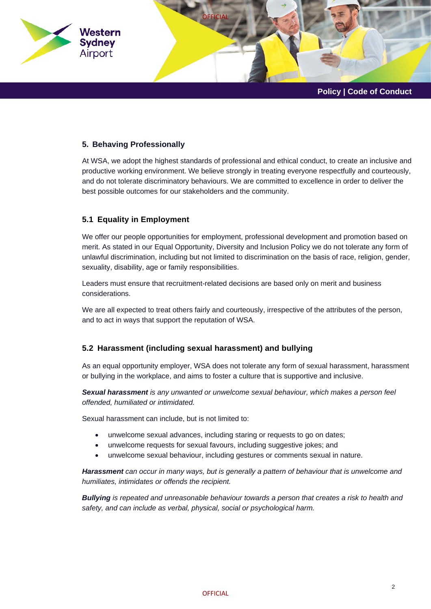

## **5. Behaving Professionally**

At WSA, we adopt the highest standards of professional and ethical conduct, to create an inclusive and productive working environment. We believe strongly in treating everyone respectfully and courteously, and do not tolerate discriminatory behaviours. We are committed to excellence in order to deliver the best possible outcomes for our stakeholders and the community.

## **5.1 Equality in Employment**

We offer our people opportunities for employment, professional development and promotion based on merit. As stated in our Equal Opportunity, Diversity and Inclusion Policy we do not tolerate any form of unlawful discrimination, including but not limited to discrimination on the basis of race, religion, gender, sexuality, disability, age or family responsibilities.

Leaders must ensure that recruitment-related decisions are based only on merit and business considerations.

We are all expected to treat others fairly and courteously, irrespective of the attributes of the person, and to act in ways that support the reputation of WSA.

# **5.2 Harassment (including sexual harassment) and bullying**

As an equal opportunity employer, WSA does not tolerate any form of sexual harassment, harassment or bullying in the workplace, and aims to foster a culture that is supportive and inclusive.

*Sexual harassment is any unwanted or unwelcome sexual behaviour, which makes a person feel offended, humiliated or intimidated.*

Sexual harassment can include, but is not limited to:

- unwelcome sexual advances, including staring or requests to go on dates;
- unwelcome requests for sexual favours, including suggestive jokes; and
- unwelcome sexual behaviour, including gestures or comments sexual in nature.

*Harassment can occur in many ways, but is generally a pattern of behaviour that is unwelcome and humiliates, intimidates or offends the recipient.*

*Bullying is repeated and unreasonable behaviour towards a person that creates a risk to health and safety, and can include as verbal, physical, social or psychological harm.*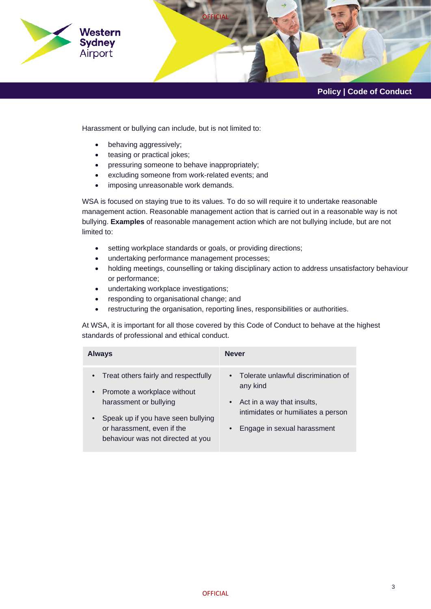

Harassment or bullying can include, but is not limited to:

- behaving aggressively;
- teasing or practical jokes;
- pressuring someone to behave inappropriately;
- excluding someone from work-related events; and
- imposing unreasonable work demands.

WSA is focused on staying true to its values. To do so will require it to undertake reasonable management action. Reasonable management action that is carried out in a reasonable way is not bullying. **Examples** of reasonable management action which are not bullying include, but are not limited to:

- setting workplace standards or goals, or providing directions;
- undertaking performance management processes;
- holding meetings, counselling or taking disciplinary action to address unsatisfactory behaviour or performance;
- undertaking workplace investigations;
- responding to organisational change; and
- restructuring the organisation, reporting lines, responsibilities or authorities.

At WSA, it is important for all those covered by this Code of Conduct to behave at the highest standards of professional and ethical conduct.

| <b>Always</b>                                                                                                                                                                                                                      | <b>Never</b>                                                                                                                                                                 |
|------------------------------------------------------------------------------------------------------------------------------------------------------------------------------------------------------------------------------------|------------------------------------------------------------------------------------------------------------------------------------------------------------------------------|
| • Treat others fairly and respectfully<br>Promote a workplace without<br>$\bullet$<br>harassment or bullying<br>Speak up if you have seen bullying<br>$\bullet$<br>or harassment, even if the<br>behaviour was not directed at you | Tolerate unlawful discrimination of<br>$\bullet$<br>any kind<br>Act in a way that insults,<br>intimidates or humiliates a person<br>Engage in sexual harassment<br>$\bullet$ |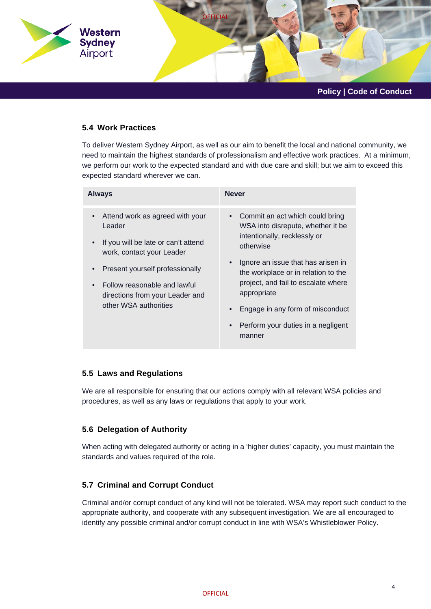

## **5.4 Work Practices**

To deliver Western Sydney Airport, as well as our aim to benefit the local and national community, we need to maintain the highest standards of professionalism and effective work practices. At a minimum, we perform our work to the expected standard and with due care and skill; but we aim to exceed this expected standard wherever we can.

| <b>Always</b>                                                                                                                                                                                                                                | <b>Never</b>                                                                                                                                                                                                                                                                                                                                                       |
|----------------------------------------------------------------------------------------------------------------------------------------------------------------------------------------------------------------------------------------------|--------------------------------------------------------------------------------------------------------------------------------------------------------------------------------------------------------------------------------------------------------------------------------------------------------------------------------------------------------------------|
| Attend work as agreed with your<br>Leader<br>If you will be late or can't attend<br>work, contact your Leader<br>Present yourself professionally<br>Follow reasonable and lawful<br>directions from your Leader and<br>other WSA authorities | Commit an act which could bring<br>WSA into disrepute, whether it be<br>intentionally, recklessly or<br>otherwise<br>Ignore an issue that has arisen in<br>$\bullet$<br>the workplace or in relation to the<br>project, and fail to escalate where<br>appropriate<br>Engage in any form of misconduct<br>Perform your duties in a negligent<br>$\bullet$<br>manner |

## **5.5 Laws and Regulations**

We are all responsible for ensuring that our actions comply with all relevant WSA policies and procedures, as well as any laws or regulations that apply to your work.

## **5.6 Delegation of Authority**

When acting with delegated authority or acting in a 'higher duties' capacity, you must maintain the standards and values required of the role.

## **5.7 Criminal and Corrupt Conduct**

Criminal and/or corrupt conduct of any kind will not be tolerated. WSA may report such conduct to the appropriate authority, and cooperate with any subsequent investigation. We are all encouraged to identify any possible criminal and/or corrupt conduct in line with WSA's Whistleblower Policy.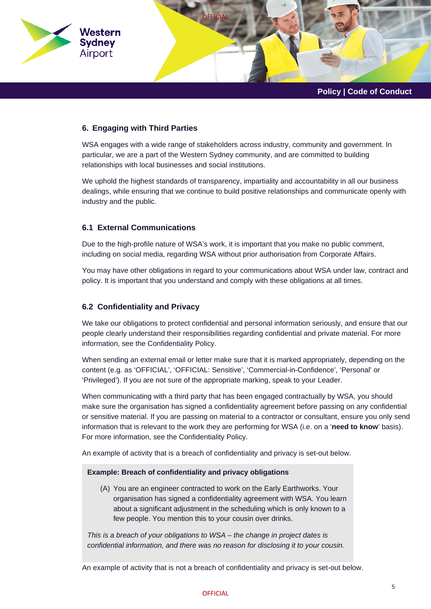

## **6. Engaging with Third Parties**

WSA engages with a wide range of stakeholders across industry, community and government. In particular, we are a part of the Western Sydney community, and are committed to building relationships with local businesses and social institutions.

We uphold the highest standards of transparency, impartiality and accountability in all our business dealings, while ensuring that we continue to build positive relationships and communicate openly with industry and the public.

## **6.1 External Communications**

Due to the high-profile nature of WSA's work, it is important that you make no public comment, including on social media, regarding WSA without prior authorisation from Corporate Affairs.

You may have other obligations in regard to your communications about WSA under law, contract and policy. It is important that you understand and comply with these obligations at all times.

#### **6.2 Confidentiality and Privacy**

We take our obligations to protect confidential and personal information seriously, and ensure that our people clearly understand their responsibilities regarding confidential and private material. For more information, see the Confidentiality Policy.

When sending an external email or letter make sure that it is marked appropriately, depending on the content (e.g. as 'OFFICIAL', 'OFFICIAL: Sensitive', 'Commercial-in-Confidence', 'Personal' or 'Privileged'). If you are not sure of the appropriate marking, speak to your Leader.

When communicating with a third party that has been engaged contractually by WSA, you should make sure the organisation has signed a confidentiality agreement before passing on any confidential or sensitive material. If you are passing on material to a contractor or consultant, ensure you only send information that is relevant to the work they are performing for WSA (i.e. on a '**need to know**' basis). For more information, see the Confidentiality Policy.

An example of activity that is a breach of confidentiality and privacy is set-out below.

#### **Example: Breach of confidentiality and privacy obligations**

(A) You are an engineer contracted to work on the Early Earthworks. Your organisation has signed a confidentiality agreement with WSA. You learn about a significant adjustment in the scheduling which is only known to a few people. You mention this to your cousin over drinks.

*This is a breach of your obligations to WSA – the change in project dates is confidential information, and there was no reason for disclosing it to your cousin.*

An example of activity that is not a breach of confidentiality and privacy is set-out below.

#### **OFFICIAL**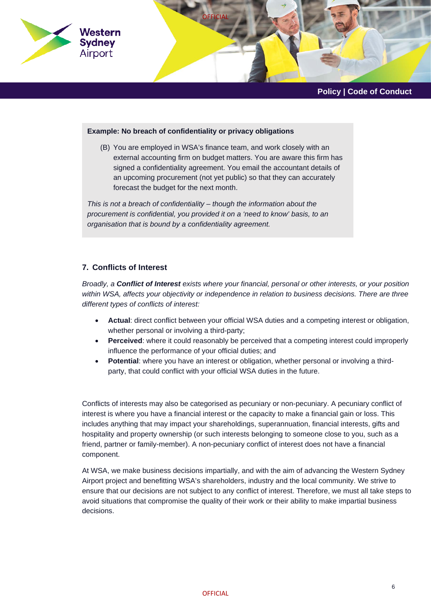

#### **Example: No breach of confidentiality or privacy obligations**

(B) You are employed in WSA's finance team, and work closely with an external accounting firm on budget matters. You are aware this firm has signed a confidentiality agreement. You email the accountant details of an upcoming procurement (not yet public) so that they can accurately forecast the budget for the next month.

*This is not a breach of confidentiality – though the information about the procurement is confidential, you provided it on a 'need to know' basis, to an organisation that is bound by a confidentiality agreement.*

## **7. Conflicts of Interest**

*Broadly, a Conflict of Interest exists where your financial, personal or other interests, or your position within WSA, affects your objectivity or independence in relation to business decisions. There are three different types of conflicts of interest:*

- **Actual**: direct conflict between your official WSA duties and a competing interest or obligation, whether personal or involving a third-party;
- **Perceived**: where it could reasonably be perceived that a competing interest could improperly influence the performance of your official duties; and
- **Potential**: where you have an interest or obligation, whether personal or involving a thirdparty, that could conflict with your official WSA duties in the future.

Conflicts of interests may also be categorised as pecuniary or non-pecuniary. A pecuniary conflict of interest is where you have a financial interest or the capacity to make a financial gain or loss. This includes anything that may impact your shareholdings, superannuation, financial interests, gifts and hospitality and property ownership (or such interests belonging to someone close to you, such as a friend, partner or family-member). A non-pecuniary conflict of interest does not have a financial component.

At WSA, we make business decisions impartially, and with the aim of advancing the Western Sydney Airport project and benefitting WSA's shareholders, industry and the local community. We strive to ensure that our decisions are not subject to any conflict of interest. Therefore, we must all take steps to avoid situations that compromise the quality of their work or their ability to make impartial business decisions.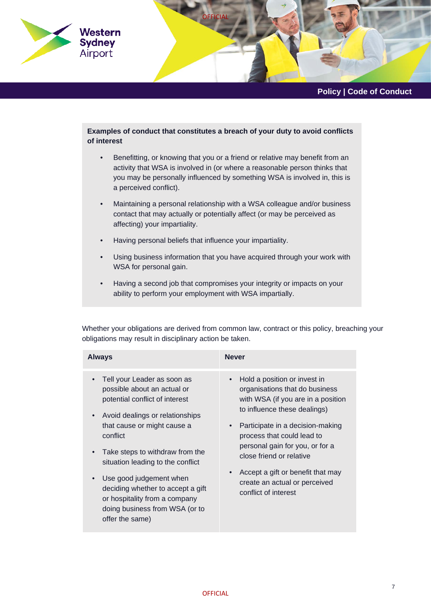

## **Examples of conduct that constitutes a breach of your duty to avoid conflicts of interest**

- Benefitting, or knowing that you or a friend or relative may benefit from an activity that WSA is involved in (or where a reasonable person thinks that you may be personally influenced by something WSA is involved in, this is a perceived conflict).
- Maintaining a personal relationship with a WSA colleague and/or business contact that may actually or potentially affect (or may be perceived as affecting) your impartiality.
- Having personal beliefs that influence your impartiality.
- Using business information that you have acquired through your work with WSA for personal gain.
- Having a second job that compromises your integrity or impacts on your ability to perform your employment with WSA impartially.

Whether your obligations are derived from common law, contract or this policy, breaching your obligations may result in disciplinary action be taken.

| <b>Always</b>                                                                                                                                                                                                                                                                                                                                                                                            | <b>Never</b>                                                                                                                                                                                                                                                                                                                                                        |
|----------------------------------------------------------------------------------------------------------------------------------------------------------------------------------------------------------------------------------------------------------------------------------------------------------------------------------------------------------------------------------------------------------|---------------------------------------------------------------------------------------------------------------------------------------------------------------------------------------------------------------------------------------------------------------------------------------------------------------------------------------------------------------------|
| Tell your Leader as soon as<br>possible about an actual or<br>potential conflict of interest<br>Avoid dealings or relationships<br>that cause or might cause a<br>conflict<br>Take steps to withdraw from the<br>situation leading to the conflict<br>Use good judgement when<br>deciding whether to accept a gift<br>or hospitality from a company<br>doing business from WSA (or to<br>offer the same) | Hold a position or invest in<br>organisations that do business<br>with WSA (if you are in a position<br>to influence these dealings)<br>Participate in a decision-making<br>process that could lead to<br>personal gain for you, or for a<br>close friend or relative<br>Accept a gift or benefit that may<br>create an actual or perceived<br>conflict of interest |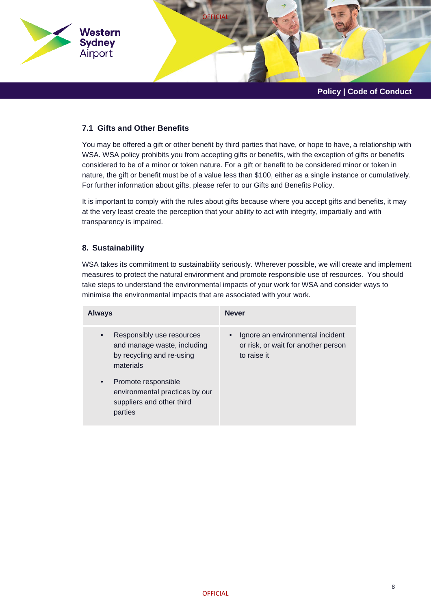

## **7.1 Gifts and Other Benefits**

You may be offered a gift or other benefit by third parties that have, or hope to have, a relationship with WSA. WSA policy prohibits you from accepting gifts or benefits, with the exception of gifts or benefits considered to be of a minor or token nature. For a gift or benefit to be considered minor or token in nature, the gift or benefit must be of a value less than \$100, either as a single instance or cumulatively. For further information about gifts, please refer to our Gifts and Benefits Policy.

It is important to comply with the rules about gifts because where you accept gifts and benefits, it may at the very least create the perception that your ability to act with integrity, impartially and with transparency is impaired.

## **8. Sustainability**

WSA takes its commitment to sustainability seriously. Wherever possible, we will create and implement measures to protect the natural environment and promote responsible use of resources. You should take steps to understand the environmental impacts of your work for WSA and consider ways to minimise the environmental impacts that are associated with your work.

| <b>Always</b>                                                                                                   | <b>Never</b>                                                                           |
|-----------------------------------------------------------------------------------------------------------------|----------------------------------------------------------------------------------------|
| Responsibly use resources<br>$\bullet$<br>and manage waste, including<br>by recycling and re-using<br>materials | Ignore an environmental incident<br>or risk, or wait for another person<br>to raise it |
| Promote responsible<br>$\bullet$<br>environmental practices by our<br>suppliers and other third<br>parties      |                                                                                        |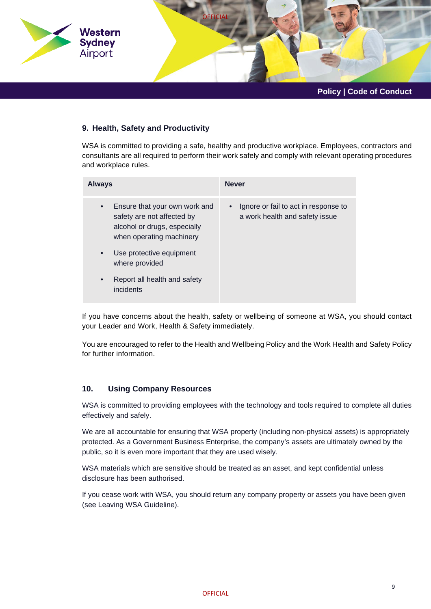

## **9. Health, Safety and Productivity**

WSA is committed to providing a safe, healthy and productive workplace. Employees, contractors and consultants are all required to perform their work safely and comply with relevant operating procedures and workplace rules.

| Always                                                                                                                               | <b>Never</b>                                                           |
|--------------------------------------------------------------------------------------------------------------------------------------|------------------------------------------------------------------------|
| Ensure that your own work and<br>$\bullet$<br>safety are not affected by<br>alcohol or drugs, especially<br>when operating machinery | Ignore or fail to act in response to<br>a work health and safety issue |
| Use protective equipment<br>$\bullet$<br>where provided                                                                              |                                                                        |
| Report all health and safety<br>$\bullet$<br>incidents                                                                               |                                                                        |

If you have concerns about the health, safety or wellbeing of someone at WSA, you should contact your Leader and Work, Health & Safety immediately.

You are encouraged to refer to the Health and Wellbeing Policy and the Work Health and Safety Policy for further information.

#### **10. Using Company Resources**

WSA is committed to providing employees with the technology and tools required to complete all duties effectively and safely.

We are all accountable for ensuring that WSA property (including non-physical assets) is appropriately protected. As a Government Business Enterprise, the company's assets are ultimately owned by the public, so it is even more important that they are used wisely.

WSA materials which are sensitive should be treated as an asset, and kept confidential unless disclosure has been authorised.

If you cease work with WSA, you should return any company property or assets you have been given (see Leaving WSA Guideline).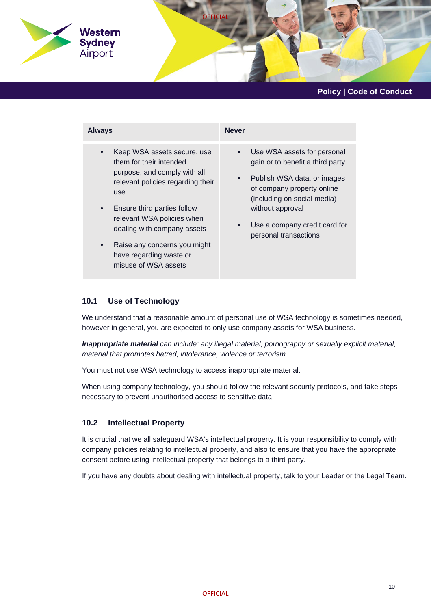

| <b>Always</b>                                                                                                                                                                                                                                                                                                                                            | <b>Never</b>                                                                                                                                                                                                                                                                     |
|----------------------------------------------------------------------------------------------------------------------------------------------------------------------------------------------------------------------------------------------------------------------------------------------------------------------------------------------------------|----------------------------------------------------------------------------------------------------------------------------------------------------------------------------------------------------------------------------------------------------------------------------------|
| Keep WSA assets secure, use<br>$\bullet$<br>them for their intended<br>purpose, and comply with all<br>relevant policies regarding their<br>use<br>Ensure third parties follow<br>$\bullet$<br>relevant WSA policies when<br>dealing with company assets<br>Raise any concerns you might<br>$\bullet$<br>have regarding waste or<br>misuse of WSA assets | Use WSA assets for personal<br>$\bullet$<br>gain or to benefit a third party<br>Publish WSA data, or images<br>$\bullet$<br>of company property online<br>(including on social media)<br>without approval<br>Use a company credit card for<br>$\bullet$<br>personal transactions |

#### **10.1 Use of Technology**

We understand that a reasonable amount of personal use of WSA technology is sometimes needed, however in general, you are expected to only use company assets for WSA business.

*Inappropriate material can include: any illegal material, pornography or sexually explicit material, material that promotes hatred, intolerance, violence or terrorism.*

You must not use WSA technology to access inappropriate material.

When using company technology, you should follow the relevant security protocols, and take steps necessary to prevent unauthorised access to sensitive data.

## **10.2 Intellectual Property**

It is crucial that we all safeguard WSA's intellectual property. It is your responsibility to comply with company policies relating to intellectual property, and also to ensure that you have the appropriate consent before using intellectual property that belongs to a third party.

If you have any doubts about dealing with intellectual property, talk to your Leader or the Legal Team.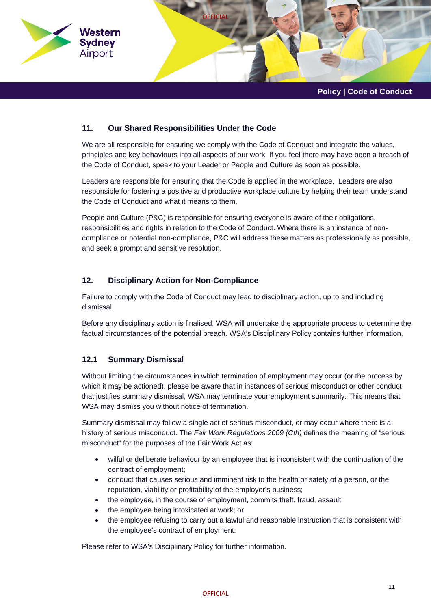

## **11. Our Shared Responsibilities Under the Code**

We are all responsible for ensuring we comply with the Code of Conduct and integrate the values, principles and key behaviours into all aspects of our work. If you feel there may have been a breach of the Code of Conduct, speak to your Leader or People and Culture as soon as possible.

Leaders are responsible for ensuring that the Code is applied in the workplace. Leaders are also responsible for fostering a positive and productive workplace culture by helping their team understand the Code of Conduct and what it means to them.

People and Culture (P&C) is responsible for ensuring everyone is aware of their obligations, responsibilities and rights in relation to the Code of Conduct. Where there is an instance of noncompliance or potential non-compliance, P&C will address these matters as professionally as possible, and seek a prompt and sensitive resolution.

## **12. Disciplinary Action for Non-Compliance**

Failure to comply with the Code of Conduct may lead to disciplinary action, up to and including dismissal.

Before any disciplinary action is finalised, WSA will undertake the appropriate process to determine the factual circumstances of the potential breach. WSA's Disciplinary Policy contains further information.

## **12.1 Summary Dismissal**

Without limiting the circumstances in which termination of employment may occur (or the process by which it may be actioned), please be aware that in instances of serious misconduct or other conduct that justifies summary dismissal, WSA may terminate your employment summarily. This means that WSA may dismiss you without notice of termination.

Summary dismissal may follow a single act of serious misconduct, or may occur where there is a history of serious misconduct. The *Fair Work Regulations 2009 (Cth)* defines the meaning of "serious misconduct" for the purposes of the Fair Work Act as:

- wilful or deliberate behaviour by an employee that is inconsistent with the continuation of the contract of employment;
- conduct that causes serious and imminent risk to the health or safety of a person, or the reputation, viability or profitability of the employer's business;
- the employee, in the course of employment, commits theft, fraud, assault;
- the employee being intoxicated at work; or
- the employee refusing to carry out a lawful and reasonable instruction that is consistent with the employee's contract of employment.

Please refer to WSA's Disciplinary Policy for further information.

#### **OFFICIAL**